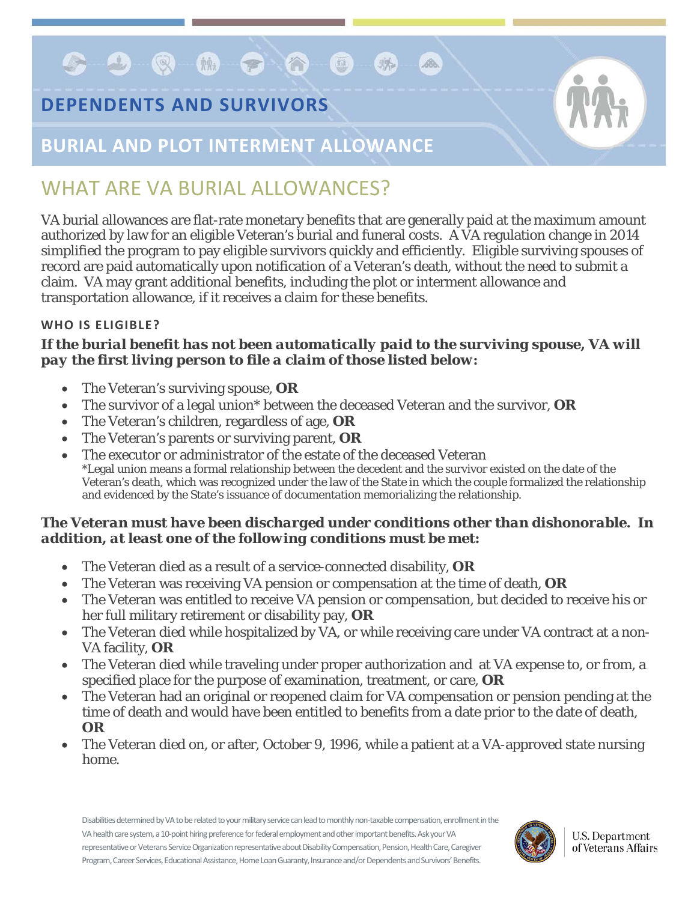# **DEPENDENTS AND SURVIVORS**

**COQOOOO** 



# **BURIAL AND PLOT INTERMENT ALLOWANCE**

# WHAT ARE VA BURIAL ALLOWANCES?

VA burial allowances are flat-rate monetary benefits that are generally paid at the maximum amount authorized by law for an eligible Veteran's burial and funeral costs. A VA regulation change in 2014 simplified the program to pay eligible survivors quickly and efficiently. Eligible surviving spouses of record are paid automatically upon notification of a Veteran's death, without the need to submit a claim. VA may grant additional benefits, including the plot or interment allowance and transportation allowance, if it receives a claim for these benefits.

Bo.

## **WHO IS ELIGIBLE?**

### *If the burial benefit has not been automatically paid to the surviving spouse, VA will pay the first living person to file a claim of those listed below:*

- The Veteran's surviving spouse, **OR**
- The survivor of a legal union\* between the deceased Veteran and the survivor, **OR**
- The Veteran's children, regardless of age, **OR**
- The Veteran's parents or surviving parent, **OR**
- The executor or administrator of the estate of the deceased Veteran \*Legal union means a formal relationship between the decedent and the survivor existed on the date of the Veteran's death, which was recognized under the law of the State in which the couple formalized the relationship and evidenced by the State's issuance of documentation memorializing the relationship.

### *The Veteran must have been discharged under conditions other than dishonorable. In addition, at least one of the following conditions must be met:*

- The Veteran died as a result of a service-connected disability, **OR**
- The Veteran was receiving VA pension or compensation at the time of death, **OR**
- The Veteran was entitled to receive VA pension or compensation, but decided to receive his or her full military retirement or disability pay, **OR**
- The Veteran died while hospitalized by VA, or while receiving care under VA contract at a non-VA facility, **OR**
- The Veteran died while traveling under proper authorization and at VA expense to, or from, a specified place for the purpose of examination, treatment, or care, **OR**
- The Veteran had an original or reopened claim for VA compensation or pension pending at the time of death and would have been entitled to benefits from a date prior to the date of death, **OR**
- The Veteran died on, or after, October 9, 1996, while a patient at a VA-approved state nursing home.

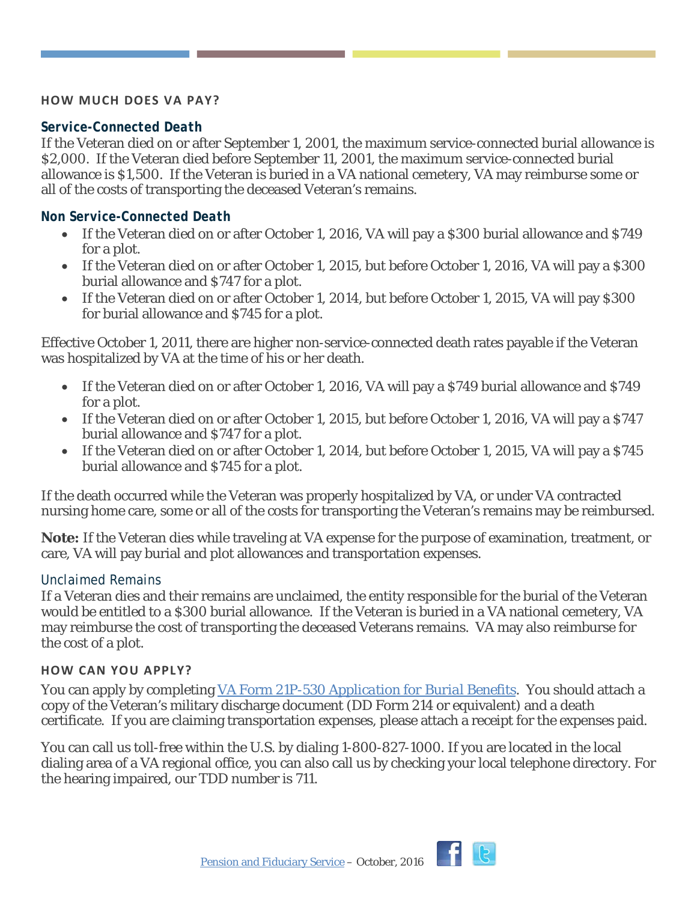#### **HOW MUCH DOES VA PAY?**

#### *Service-Connected Death*

If the Veteran died on or after September 1, 2001, the maximum service-connected burial allowance is \$2,000. If the Veteran died before September 11, 2001, the maximum service-connected burial allowance is \$1,500. If the Veteran is buried in a VA national cemetery, VA may reimburse some or all of the costs of transporting the deceased Veteran's remains.

#### *Non Service-Connected Death*

- If the Veteran died on or after October 1, 2016, VA will pay a \$300 burial allowance and \$749 for a plot.
- If the Veteran died on or after October 1, 2015, but before October 1, 2016, VA will pay a \$300 burial allowance and \$747 for a plot.
- If the Veteran died on or after October 1, 2014, but before October 1, 2015, VA will pay \$300 for burial allowance and \$745 for a plot.

Effective October 1, 2011, there are higher non-service-connected death rates payable if the Veteran was hospitalized by VA at the time of his or her death.

- If the Veteran died on or after October 1, 2016, VA will pay a \$749 burial allowance and \$749 for a plot.
- If the Veteran died on or after October 1, 2015, but before October 1, 2016, VA will pay a \$747 burial allowance and \$747 for a plot.
- If the Veteran died on or after October 1, 2014, but before October 1, 2015, VA will pay a \$745 burial allowance and \$745 for a plot.

If the death occurred while the Veteran was properly hospitalized by VA, or under VA contracted nursing home care, some or all of the costs for transporting the Veteran's remains may be reimbursed.

**Note:** If the Veteran dies while traveling at VA expense for the purpose of examination, treatment, or care, VA will pay burial and plot allowances and transportation expenses.

#### *Unclaimed Remains*

If a Veteran dies and their remains are unclaimed, the entity responsible for the burial of the Veteran would be entitled to a \$300 burial allowance. If the Veteran is buried in a VA national cemetery, VA may reimburse the cost of transporting the deceased Veterans remains. VA may also reimburse for the cost of a plot.

#### **HOW CAN YOU APPLY?**

You can apply by completing VA Form 21P-530 *[Application for Burial Benefits](http://www.vba.va.gov/pubs/forms/VBA-21P-530-ARE.pdf)*. You should attach a copy of the Veteran's military discharge document (DD Form 214 or equivalent) and a death certificate. If you are claiming transportation expenses, please attach a receipt for the expenses paid.

You can call us toll-free within the U.S. by dialing 1-800-827-1000. If you are located in the local dialing area of a VA regional office, you can also call us by checking your local telephone directory. For the hearing impaired, our TDD number is 711.